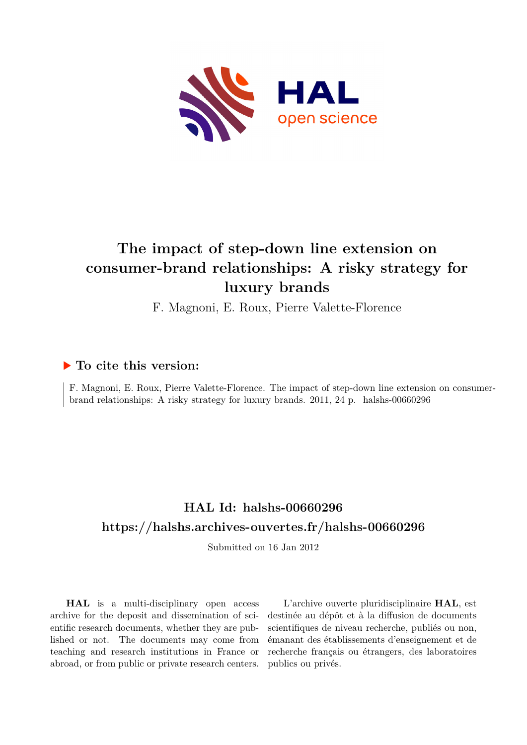

# **The impact of step-down line extension on consumer-brand relationships: A risky strategy for luxury brands**

F. Magnoni, E. Roux, Pierre Valette-Florence

# **To cite this version:**

F. Magnoni, E. Roux, Pierre Valette-Florence. The impact of step-down line extension on consumerbrand relationships: A risky strategy for luxury brands.  $2011$ ,  $24$  p. halshs-00660296

# **HAL Id: halshs-00660296 <https://halshs.archives-ouvertes.fr/halshs-00660296>**

Submitted on 16 Jan 2012

**HAL** is a multi-disciplinary open access archive for the deposit and dissemination of scientific research documents, whether they are published or not. The documents may come from teaching and research institutions in France or abroad, or from public or private research centers.

L'archive ouverte pluridisciplinaire **HAL**, est destinée au dépôt et à la diffusion de documents scientifiques de niveau recherche, publiés ou non, émanant des établissements d'enseignement et de recherche français ou étrangers, des laboratoires publics ou privés.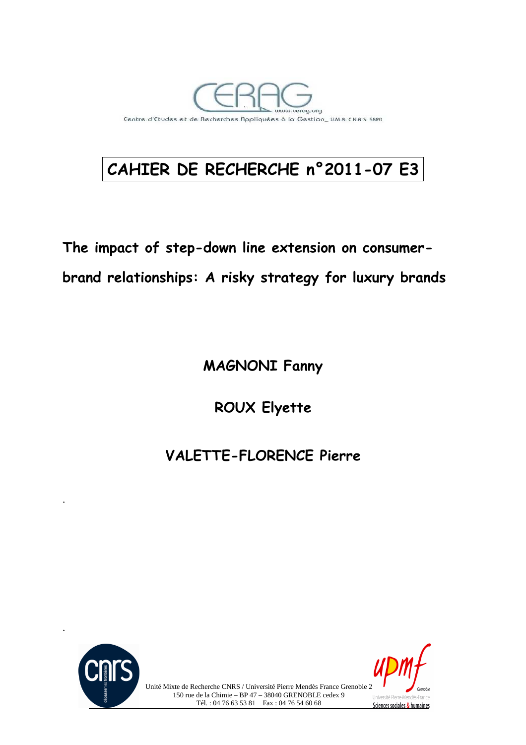

# **CAHIER DE RECHERCHE n°2011-07 E3**

**The impact of step-down line extension on consumerbrand relationships: A risky strategy for luxury brands**

**MAGNONI Fanny** 

**ROUX Elyette** 

# **VALETTE-FLORENCE Pierre**



.

.



Sciences sociales & humaines

Unité Mixte de Recherche CNRS / Université Pierre Mendès France Grenoble 2 150 rue de la Chimie – BP 47 – 38040 GRENOBLE cedex 9 Tél. : 04 76 63 53 81 Fax : 04 76 54 60 68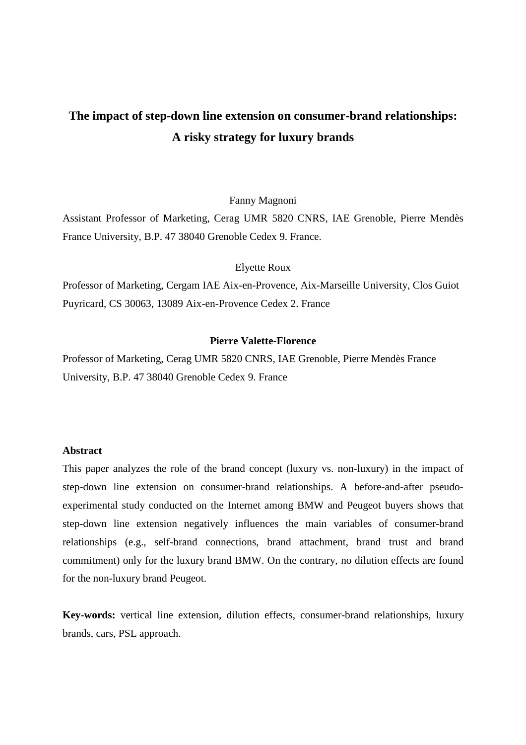# **The impact of step-down line extension on consumer-brand relationships: A risky strategy for luxury brands**

#### Fanny Magnoni

Assistant Professor of Marketing, Cerag UMR 5820 CNRS, IAE Grenoble, Pierre Mendès France University, B.P. 47 38040 Grenoble Cedex 9. France.

#### Elyette Roux

Professor of Marketing, Cergam IAE Aix-en-Provence, Aix-Marseille University, Clos Guiot Puyricard, CS 30063, 13089 Aix-en-Provence Cedex 2. France

#### **Pierre Valette-Florence**

Professor of Marketing, Cerag UMR 5820 CNRS, IAE Grenoble, Pierre Mendès France University, B.P. 47 38040 Grenoble Cedex 9. France

#### **Abstract**

This paper analyzes the role of the brand concept (luxury vs. non-luxury) in the impact of step-down line extension on consumer-brand relationships. A before-and-after pseudoexperimental study conducted on the Internet among BMW and Peugeot buyers shows that step-down line extension negatively influences the main variables of consumer-brand relationships (e.g., self-brand connections, brand attachment, brand trust and brand commitment) only for the luxury brand BMW. On the contrary, no dilution effects are found for the non-luxury brand Peugeot.

**Key-words:** vertical line extension, dilution effects, consumer-brand relationships, luxury brands, cars, PSL approach.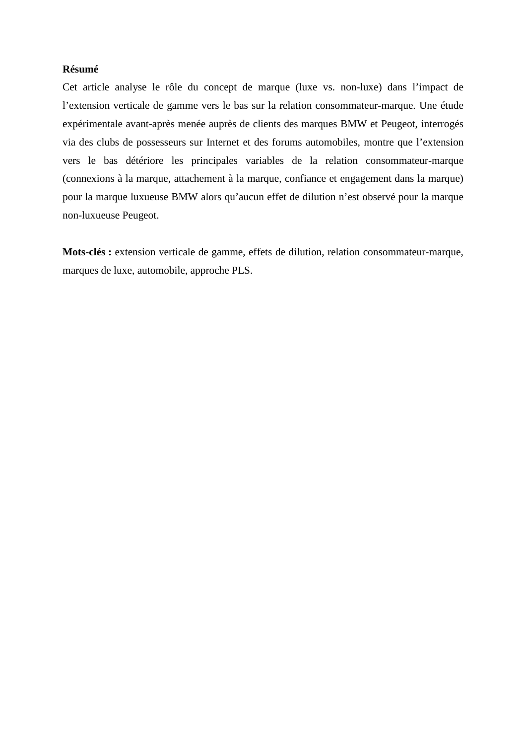#### **Résumé**

Cet article analyse le rôle du concept de marque (luxe vs. non-luxe) dans l'impact de l'extension verticale de gamme vers le bas sur la relation consommateur-marque. Une étude expérimentale avant-après menée auprès de clients des marques BMW et Peugeot, interrogés via des clubs de possesseurs sur Internet et des forums automobiles, montre que l'extension vers le bas détériore les principales variables de la relation consommateur-marque (connexions à la marque, attachement à la marque, confiance et engagement dans la marque) pour la marque luxueuse BMW alors qu'aucun effet de dilution n'est observé pour la marque non-luxueuse Peugeot.

**Mots-clés :** extension verticale de gamme, effets de dilution, relation consommateur-marque, marques de luxe, automobile, approche PLS.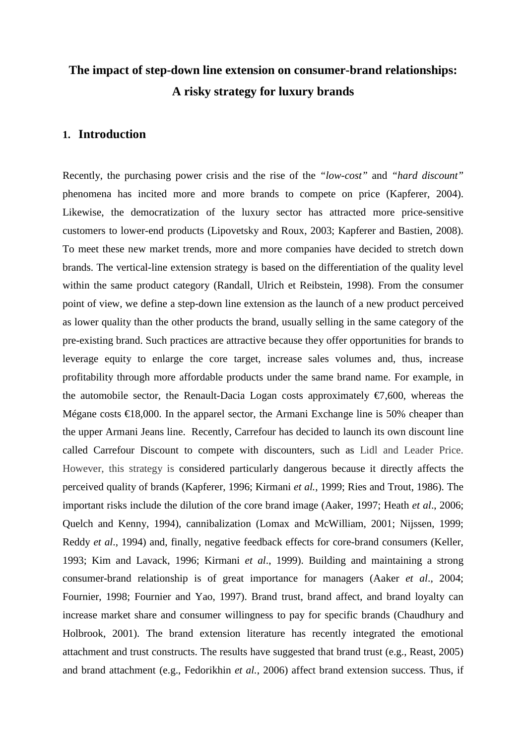# **The impact of step-down line extension on consumer-brand relationships: A risky strategy for luxury brands**

### **1. Introduction**

Recently, the purchasing power crisis and the rise of the *"low-cost"* and *"hard discount"* phenomena has incited more and more brands to compete on price (Kapferer, 2004). Likewise, the democratization of the luxury sector has attracted more price-sensitive customers to lower-end products (Lipovetsky and Roux, 2003; Kapferer and Bastien, 2008). To meet these new market trends, more and more companies have decided to stretch down brands. The vertical-line extension strategy is based on the differentiation of the quality level within the same product category (Randall, Ulrich et Reibstein, 1998). From the consumer point of view, we define a step-down line extension as the launch of a new product perceived as lower quality than the other products the brand, usually selling in the same category of the pre-existing brand. Such practices are attractive because they offer opportunities for brands to leverage equity to enlarge the core target, increase sales volumes and, thus, increase profitability through more affordable products under the same brand name. For example, in the automobile sector, the Renault-Dacia Logan costs approximately  $\epsilon$ 7,600, whereas the Mégane costs  $\epsilon$ 18,000. In the apparel sector, the Armani Exchange line is 50% cheaper than the upper Armani Jeans line. Recently, Carrefour has decided to launch its own discount line called Carrefour Discount to compete with discounters, such as Lidl and Leader Price. However, this strategy is considered particularly dangerous because it directly affects the perceived quality of brands (Kapferer, 1996; Kirmani *et al.*, 1999; Ries and Trout, 1986). The important risks include the dilution of the core brand image (Aaker, 1997; Heath *et al*., 2006; Quelch and Kenny, 1994), cannibalization (Lomax and McWilliam, 2001; Nijssen, 1999; Reddy *et al*., 1994) and, finally, negative feedback effects for core-brand consumers (Keller, 1993; Kim and Lavack, 1996; Kirmani *et al*., 1999). Building and maintaining a strong consumer-brand relationship is of great importance for managers (Aaker *et al*., 2004; Fournier, 1998; Fournier and Yao, 1997). Brand trust, brand affect, and brand loyalty can increase market share and consumer willingness to pay for specific brands (Chaudhury and Holbrook, 2001). The brand extension literature has recently integrated the emotional attachment and trust constructs. The results have suggested that brand trust (e.g., Reast, 2005) and brand attachment (e.g., Fedorikhin *et al.*, 2006) affect brand extension success. Thus, if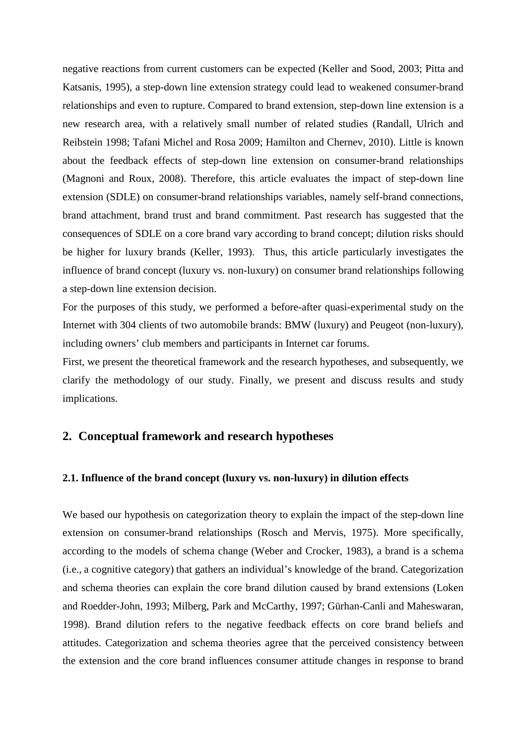negative reactions from current customers can be expected (Keller and Sood, 2003; Pitta and Katsanis, 1995), a step-down line extension strategy could lead to weakened consumer-brand relationships and even to rupture. Compared to brand extension, step-down line extension is a new research area, with a relatively small number of related studies (Randall, Ulrich and Reibstein 1998; Tafani Michel and Rosa 2009; Hamilton and Chernev, 2010). Little is known about the feedback effects of step-down line extension on consumer-brand relationships (Magnoni and Roux, 2008). Therefore, this article evaluates the impact of step-down line extension (SDLE) on consumer-brand relationships variables, namely self-brand connections, brand attachment, brand trust and brand commitment. Past research has suggested that the consequences of SDLE on a core brand vary according to brand concept; dilution risks should be higher for luxury brands (Keller, 1993). Thus, this article particularly investigates the influence of brand concept (luxury vs*.* non-luxury) on consumer brand relationships following a step-down line extension decision.

For the purposes of this study, we performed a before-after quasi-experimental study on the Internet with 304 clients of two automobile brands: BMW (luxury) and Peugeot (non-luxury), including owners' club members and participants in Internet car forums.

First, we present the theoretical framework and the research hypotheses, and subsequently, we clarify the methodology of our study. Finally, we present and discuss results and study implications.

# **2. Conceptual framework and research hypotheses**

#### **2.1. Influence of the brand concept (luxury vs. non-luxury) in dilution effects**

We based our hypothesis on categorization theory to explain the impact of the step-down line extension on consumer-brand relationships (Rosch and Mervis, 1975). More specifically, according to the models of schema change (Weber and Crocker, 1983), a brand is a schema (i.e., a cognitive category) that gathers an individual's knowledge of the brand. Categorization and schema theories can explain the core brand dilution caused by brand extensions (Loken and Roedder-John, 1993; Milberg, Park and McCarthy, 1997; Gürhan-Canli and Maheswaran, 1998). Brand dilution refers to the negative feedback effects on core brand beliefs and attitudes. Categorization and schema theories agree that the perceived consistency between the extension and the core brand influences consumer attitude changes in response to brand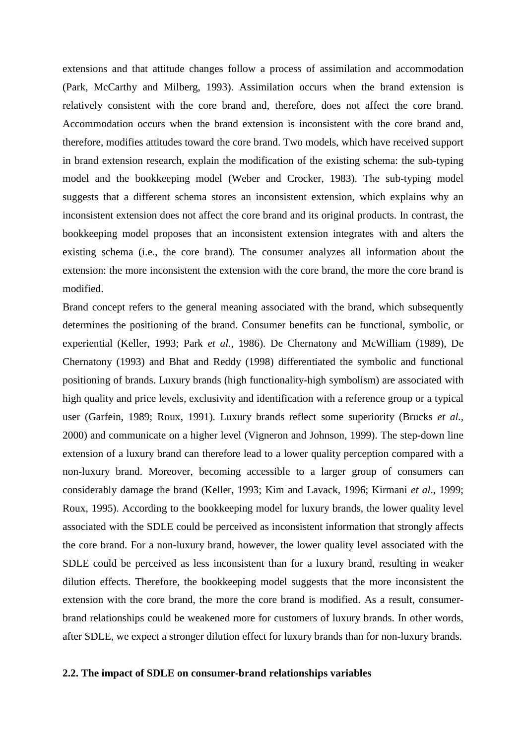extensions and that attitude changes follow a process of assimilation and accommodation (Park, McCarthy and Milberg, 1993). Assimilation occurs when the brand extension is relatively consistent with the core brand and, therefore, does not affect the core brand. Accommodation occurs when the brand extension is inconsistent with the core brand and, therefore, modifies attitudes toward the core brand. Two models, which have received support in brand extension research, explain the modification of the existing schema: the sub-typing model and the bookkeeping model (Weber and Crocker, 1983). The sub-typing model suggests that a different schema stores an inconsistent extension, which explains why an inconsistent extension does not affect the core brand and its original products. In contrast, the bookkeeping model proposes that an inconsistent extension integrates with and alters the existing schema (i.e., the core brand). The consumer analyzes all information about the extension: the more inconsistent the extension with the core brand, the more the core brand is modified.

Brand concept refers to the general meaning associated with the brand, which subsequently determines the positioning of the brand. Consumer benefits can be functional, symbolic, or experiential (Keller, 1993; Park *et al.*, 1986). De Chernatony and McWilliam (1989), De Chernatony (1993) and Bhat and Reddy (1998) differentiated the symbolic and functional positioning of brands. Luxury brands (high functionality-high symbolism) are associated with high quality and price levels, exclusivity and identification with a reference group or a typical user (Garfein, 1989; Roux, 1991). Luxury brands reflect some superiority (Brucks *et al.,* 2000) and communicate on a higher level (Vigneron and Johnson, 1999). The step-down line extension of a luxury brand can therefore lead to a lower quality perception compared with a non-luxury brand. Moreover, becoming accessible to a larger group of consumers can considerably damage the brand (Keller, 1993; Kim and Lavack, 1996; Kirmani *et al*., 1999; Roux, 1995). According to the bookkeeping model for luxury brands, the lower quality level associated with the SDLE could be perceived as inconsistent information that strongly affects the core brand. For a non-luxury brand, however, the lower quality level associated with the SDLE could be perceived as less inconsistent than for a luxury brand, resulting in weaker dilution effects. Therefore, the bookkeeping model suggests that the more inconsistent the extension with the core brand, the more the core brand is modified. As a result, consumerbrand relationships could be weakened more for customers of luxury brands. In other words, after SDLE, we expect a stronger dilution effect for luxury brands than for non-luxury brands.

#### **2.2. The impact of SDLE on consumer-brand relationships variables**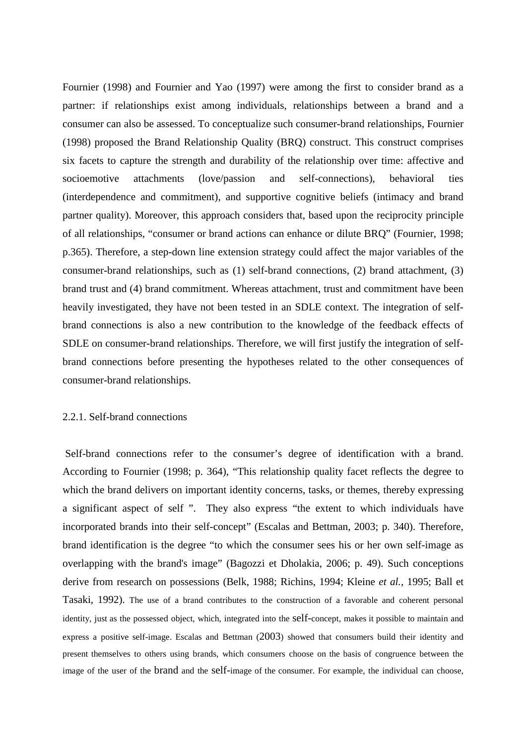Fournier (1998) and Fournier and Yao (1997) were among the first to consider brand as a partner: if relationships exist among individuals, relationships between a brand and a consumer can also be assessed. To conceptualize such consumer-brand relationships, Fournier (1998) proposed the Brand Relationship Quality (BRQ) construct. This construct comprises six facets to capture the strength and durability of the relationship over time: affective and socioemotive attachments (love/passion and self-connections), behavioral ties (interdependence and commitment), and supportive cognitive beliefs (intimacy and brand partner quality). Moreover, this approach considers that, based upon the reciprocity principle of all relationships, "consumer or brand actions can enhance or dilute BRQ" (Fournier, 1998; p.365). Therefore, a step-down line extension strategy could affect the major variables of the consumer-brand relationships, such as (1) self-brand connections, (2) brand attachment, (3) brand trust and (4) brand commitment. Whereas attachment, trust and commitment have been heavily investigated, they have not been tested in an SDLE context. The integration of selfbrand connections is also a new contribution to the knowledge of the feedback effects of SDLE on consumer-brand relationships. Therefore, we will first justify the integration of selfbrand connections before presenting the hypotheses related to the other consequences of consumer-brand relationships.

#### 2.2.1. Self-brand connections

Self-brand connections refer to the consumer's degree of identification with a brand. According to Fournier (1998; p. 364), "This relationship quality facet reflects the degree to which the brand delivers on important identity concerns, tasks, or themes, thereby expressing a significant aspect of self ". They also express "the extent to which individuals have incorporated brands into their self-concept" (Escalas and Bettman, 2003; p. 340). Therefore, brand identification is the degree "to which the consumer sees his or her own self-image as overlapping with the brand's image" (Bagozzi et Dholakia, 2006; p. 49). Such conceptions derive from research on possessions (Belk, 1988; Richins, 1994; Kleine *et al.,* 1995; Ball et Tasaki, 1992). The use of a brand contributes to the construction of a favorable and coherent personal identity, just as the possessed object, which, integrated into the self-concept, makes it possible to maintain and express a positive self-image. Escalas and Bettman (2003) showed that consumers build their identity and present themselves to others using brands, which consumers choose on the basis of congruence between the image of the user of the brand and the self-image of the consumer. For example, the individual can choose,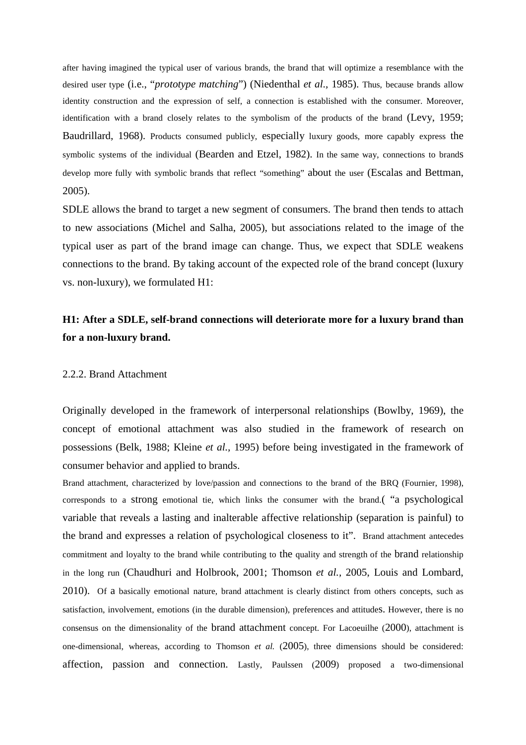after having imagined the typical user of various brands, the brand that will optimize a resemblance with the desired user type (i.e., "*prototype matching*") (Niedenthal *et al*.*,* 1985). Thus, because brands allow identity construction and the expression of self, a connection is established with the consumer. Moreover, identification with a brand closely relates to the symbolism of the products of the brand (Levy, 1959; Baudrillard, 1968). Products consumed publicly, especially luxury goods, more capably express the symbolic systems of the individual (Bearden and Etzel, 1982). In the same way, connections to brands develop more fully with symbolic brands that reflect "something" about the user (Escalas and Bettman, 2005).

SDLE allows the brand to target a new segment of consumers. The brand then tends to attach to new associations (Michel and Salha, 2005), but associations related to the image of the typical user as part of the brand image can change. Thus, we expect that SDLE weakens connections to the brand. By taking account of the expected role of the brand concept (luxury vs. non-luxury), we formulated H1:

# **H1: After a SDLE, self-brand connections will deteriorate more for a luxury brand than for a non-luxury brand.**

#### 2.2.2. Brand Attachment

Originally developed in the framework of interpersonal relationships (Bowlby, 1969), the concept of emotional attachment was also studied in the framework of research on possessions (Belk, 1988; Kleine *et al.,* 1995) before being investigated in the framework of consumer behavior and applied to brands.

Brand attachment, characterized by love/passion and connections to the brand of the BRQ (Fournier, 1998), corresponds to a strong emotional tie, which links the consumer with the brand.( "a psychological variable that reveals a lasting and inalterable affective relationship (separation is painful) to the brand and expresses a relation of psychological closeness to it". Brand attachment antecedes commitment and loyalty to the brand while contributing to the quality and strength of the brand relationship in the long run (Chaudhuri and Holbrook, 2001; Thomson *et al.,* 2005, Louis and Lombard, 2010). Of a basically emotional nature, brand attachment is clearly distinct from others concepts, such as satisfaction, involvement, emotions (in the durable dimension), preferences and attitudes. However, there is no consensus on the dimensionality of the brand attachment concept. For Lacoeuilhe (2000), attachment is one-dimensional, whereas, according to Thomson *et al.* (2005), three dimensions should be considered: affection, passion and connection. Lastly, Paulssen (2009) proposed a two-dimensional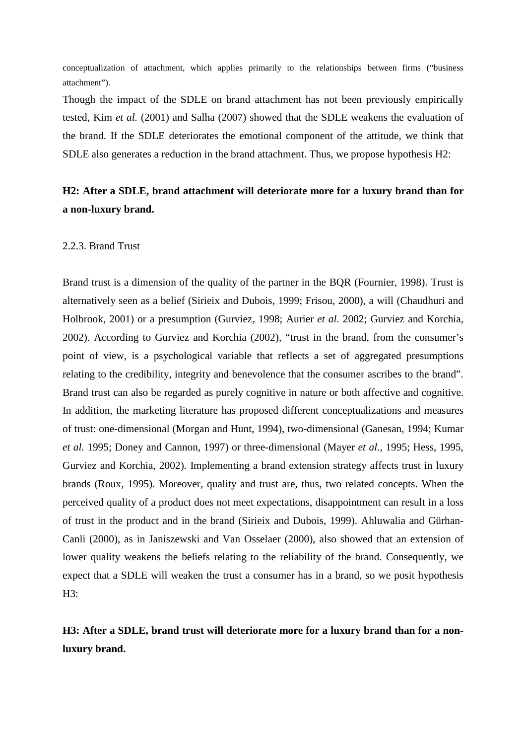conceptualization of attachment, which applies primarily to the relationships between firms ("business attachment").

Though the impact of the SDLE on brand attachment has not been previously empirically tested, Kim *et al.* (2001) and Salha (2007) showed that the SDLE weakens the evaluation of the brand. If the SDLE deteriorates the emotional component of the attitude, we think that SDLE also generates a reduction in the brand attachment. Thus, we propose hypothesis H2:

# **H2: After a SDLE, brand attachment will deteriorate more for a luxury brand than for a non-luxury brand.**

#### 2.2.3. Brand Trust

Brand trust is a dimension of the quality of the partner in the BQR (Fournier, 1998). Trust is alternatively seen as a belief (Sirieix and Dubois, 1999; Frisou, 2000), a will (Chaudhuri and Holbrook, 2001) or a presumption (Gurviez, 1998; Aurier *et al.* 2002; Gurviez and Korchia, 2002). According to Gurviez and Korchia (2002), "trust in the brand, from the consumer's point of view, is a psychological variable that reflects a set of aggregated presumptions relating to the credibility, integrity and benevolence that the consumer ascribes to the brand". Brand trust can also be regarded as purely cognitive in nature or both affective and cognitive. In addition, the marketing literature has proposed different conceptualizations and measures of trust: one-dimensional (Morgan and Hunt, 1994), two-dimensional (Ganesan, 1994; Kumar *et al.* 1995; Doney and Cannon, 1997) or three-dimensional (Mayer *et al.*, 1995; Hess, 1995, Gurviez and Korchia, 2002). Implementing a brand extension strategy affects trust in luxury brands (Roux, 1995). Moreover, quality and trust are, thus, two related concepts. When the perceived quality of a product does not meet expectations, disappointment can result in a loss of trust in the product and in the brand (Sirieix and Dubois, 1999). Ahluwalia and Gürhan-Canli (2000), as in Janiszewski and Van Osselaer (2000), also showed that an extension of lower quality weakens the beliefs relating to the reliability of the brand. Consequently, we expect that a SDLE will weaken the trust a consumer has in a brand, so we posit hypothesis  $H3:$ 

# **H3: After a SDLE, brand trust will deteriorate more for a luxury brand than for a nonluxury brand.**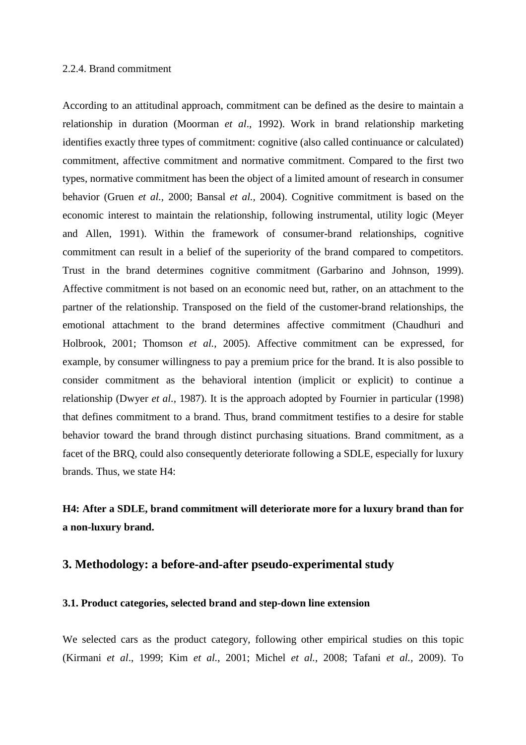#### 2.2.4. Brand commitment

According to an attitudinal approach, commitment can be defined as the desire to maintain a relationship in duration (Moorman *et al*., 1992). Work in brand relationship marketing identifies exactly three types of commitment: cognitive (also called continuance or calculated) commitment, affective commitment and normative commitment. Compared to the first two types, normative commitment has been the object of a limited amount of research in consumer behavior (Gruen *et al.,* 2000; Bansal *et al.,* 2004). Cognitive commitment is based on the economic interest to maintain the relationship, following instrumental, utility logic (Meyer and Allen, 1991). Within the framework of consumer-brand relationships, cognitive commitment can result in a belief of the superiority of the brand compared to competitors. Trust in the brand determines cognitive commitment (Garbarino and Johnson, 1999). Affective commitment is not based on an economic need but, rather, on an attachment to the partner of the relationship. Transposed on the field of the customer-brand relationships, the emotional attachment to the brand determines affective commitment (Chaudhuri and Holbrook, 2001; Thomson *et al.,* 2005). Affective commitment can be expressed, for example, by consumer willingness to pay a premium price for the brand. It is also possible to consider commitment as the behavioral intention (implicit or explicit) to continue a relationship (Dwyer *et al.,* 1987). It is the approach adopted by Fournier in particular (1998) that defines commitment to a brand. Thus, brand commitment testifies to a desire for stable behavior toward the brand through distinct purchasing situations. Brand commitment, as a facet of the BRQ, could also consequently deteriorate following a SDLE, especially for luxury brands. Thus, we state H4:

**H4: After a SDLE, brand commitment will deteriorate more for a luxury brand than for a non-luxury brand.** 

#### **3. Methodology: a before-and-after pseudo-experimental study**

#### **3.1. Product categories, selected brand and step-down line extension**

We selected cars as the product category, following other empirical studies on this topic (Kirmani *et al*., 1999; Kim *et al.*, 2001; Michel *et al.*, 2008; Tafani *et al.,* 2009). To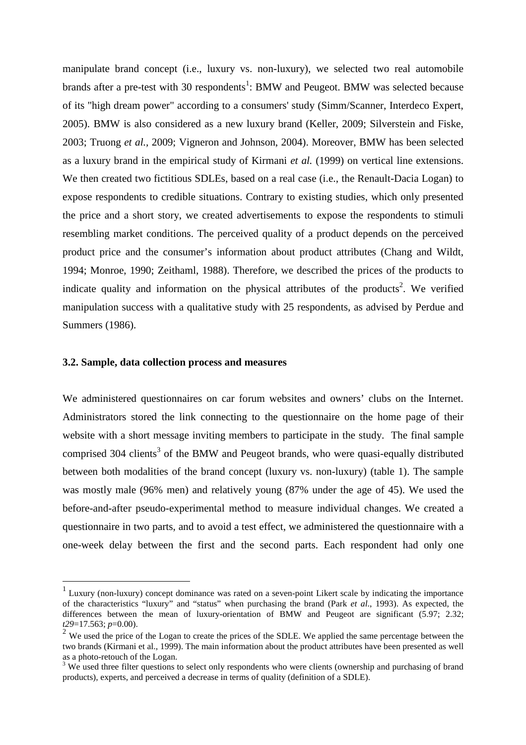manipulate brand concept (i.e., luxury vs. non-luxury), we selected two real automobile brands after a pre-test with 30 respondents<sup>1</sup>: BMW and Peugeot. BMW was selected because of its "high dream power" according to a consumers' study (Simm/Scanner, Interdeco Expert, 2005). BMW is also considered as a new luxury brand (Keller, 2009; Silverstein and Fiske, 2003; Truong *et al.,* 2009; Vigneron and Johnson, 2004). Moreover, BMW has been selected as a luxury brand in the empirical study of Kirmani *et al.* (1999) on vertical line extensions. We then created two fictitious SDLEs, based on a real case (i.e., the Renault-Dacia Logan) to expose respondents to credible situations. Contrary to existing studies, which only presented the price and a short story, we created advertisements to expose the respondents to stimuli resembling market conditions. The perceived quality of a product depends on the perceived product price and the consumer's information about product attributes (Chang and Wildt, 1994; Monroe, 1990; Zeithaml, 1988). Therefore, we described the prices of the products to indicate quality and information on the physical attributes of the products<sup>2</sup>. We verified manipulation success with a qualitative study with 25 respondents, as advised by Perdue and Summers (1986).

#### **3.2. Sample, data collection process and measures**

 $\overline{a}$ 

We administered questionnaires on car forum websites and owners' clubs on the Internet. Administrators stored the link connecting to the questionnaire on the home page of their website with a short message inviting members to participate in the study. The final sample comprised 304 clients<sup>3</sup> of the BMW and Peugeot brands, who were quasi-equally distributed between both modalities of the brand concept (luxury vs. non-luxury) (table 1). The sample was mostly male (96% men) and relatively young (87% under the age of 45). We used the before-and-after pseudo-experimental method to measure individual changes. We created a questionnaire in two parts, and to avoid a test effect, we administered the questionnaire with a one-week delay between the first and the second parts. Each respondent had only one

<sup>1</sup> Luxury (non-luxury) concept dominance was rated on a seven-point Likert scale by indicating the importance of the characteristics "luxury" and "status" when purchasing the brand (Park *et al*., 1993). As expected, the differences between the mean of luxury-orientation of BMW and Peugeot are significant (5.97; 2.32; *t29*=17.563; *p*=0.00).

 $2$  We used the price of the Logan to create the prices of the SDLE. We applied the same percentage between the two brands (Kirmani et al., 1999). The main information about the product attributes have been presented as well as a photo-retouch of the Logan.

<sup>&</sup>lt;sup>3</sup> We used three filter questions to select only respondents who were clients (ownership and purchasing of brand products), experts, and perceived a decrease in terms of quality (definition of a SDLE).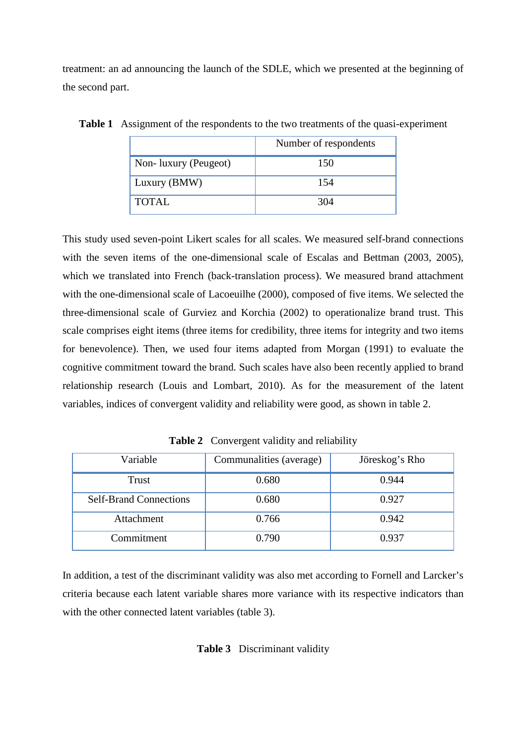treatment: an ad announcing the launch of the SDLE, which we presented at the beginning of the second part.

|                       | Number of respondents |
|-----------------------|-----------------------|
| Non- luxury (Peugeot) | 150                   |
| Luxury (BMW)          | 154                   |
| TOTAL                 | 304                   |

**Table 1** Assignment of the respondents to the two treatments of the quasi-experiment

This study used seven-point Likert scales for all scales. We measured self-brand connections with the seven items of the one-dimensional scale of Escalas and Bettman (2003, 2005), which we translated into French (back-translation process). We measured brand attachment with the one-dimensional scale of Lacoeuilhe (2000), composed of five items. We selected the three-dimensional scale of Gurviez and Korchia (2002) to operationalize brand trust. This scale comprises eight items (three items for credibility, three items for integrity and two items for benevolence). Then, we used four items adapted from Morgan (1991) to evaluate the cognitive commitment toward the brand. Such scales have also been recently applied to brand relationship research (Louis and Lombart, 2010). As for the measurement of the latent variables, indices of convergent validity and reliability were good, as shown in table 2.

| Variable                      | Communalities (average) | Jöreskog's Rho |
|-------------------------------|-------------------------|----------------|
| Trust                         | 0.680                   | 0.944          |
| <b>Self-Brand Connections</b> | 0.680                   | 0.927          |
| Attachment                    | 0.766                   | 0.942          |
| Commitment                    | 0.790                   | 0.937          |

**Table 2** Convergent validity and reliability

In addition, a test of the discriminant validity was also met according to Fornell and Larcker's criteria because each latent variable shares more variance with its respective indicators than with the other connected latent variables (table 3).

#### **Table 3** Discriminant validity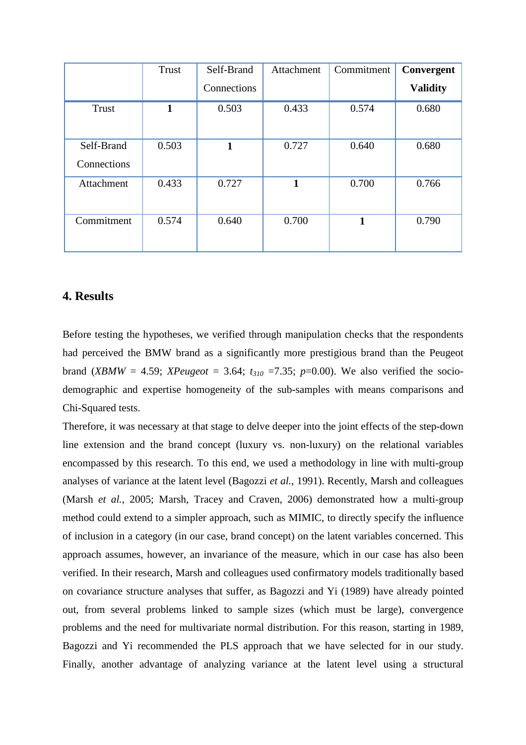|                           | Trust        | Self-Brand  | Attachment | Commitment | Convergent      |
|---------------------------|--------------|-------------|------------|------------|-----------------|
|                           |              | Connections |            |            | <b>Validity</b> |
| Trust                     | $\mathbf{1}$ | 0.503       | 0.433      | 0.574      | 0.680           |
| Self-Brand<br>Connections | 0.503        | 1           | 0.727      | 0.640      | 0.680           |
| Attachment                | 0.433        | 0.727       | 1          | 0.700      | 0.766           |
| Commitment                | 0.574        | 0.640       | 0.700      | 1          | 0.790           |

# **4. Results**

Before testing the hypotheses, we verified through manipulation checks that the respondents had perceived the BMW brand as a significantly more prestigious brand than the Peugeot brand (*XBMW* = 4.59; *XPeugeot* = 3.64;  $t_{310}$  =7.35;  $p=0.00$ ). We also verified the sociodemographic and expertise homogeneity of the sub-samples with means comparisons and Chi-Squared tests.

Therefore, it was necessary at that stage to delve deeper into the joint effects of the step-down line extension and the brand concept (luxury vs. non-luxury) on the relational variables encompassed by this research. To this end, we used a methodology in line with multi-group analyses of variance at the latent level (Bagozzi *et al.*, 1991). Recently, Marsh and colleagues (Marsh *et al.*, 2005; Marsh, Tracey and Craven, 2006) demonstrated how a multi-group method could extend to a simpler approach, such as MIMIC, to directly specify the influence of inclusion in a category (in our case, brand concept) on the latent variables concerned. This approach assumes, however, an invariance of the measure, which in our case has also been verified. In their research, Marsh and colleagues used confirmatory models traditionally based on covariance structure analyses that suffer, as Bagozzi and Yi (1989) have already pointed out, from several problems linked to sample sizes (which must be large), convergence problems and the need for multivariate normal distribution. For this reason, starting in 1989, Bagozzi and Yi recommended the PLS approach that we have selected for in our study. Finally, another advantage of analyzing variance at the latent level using a structural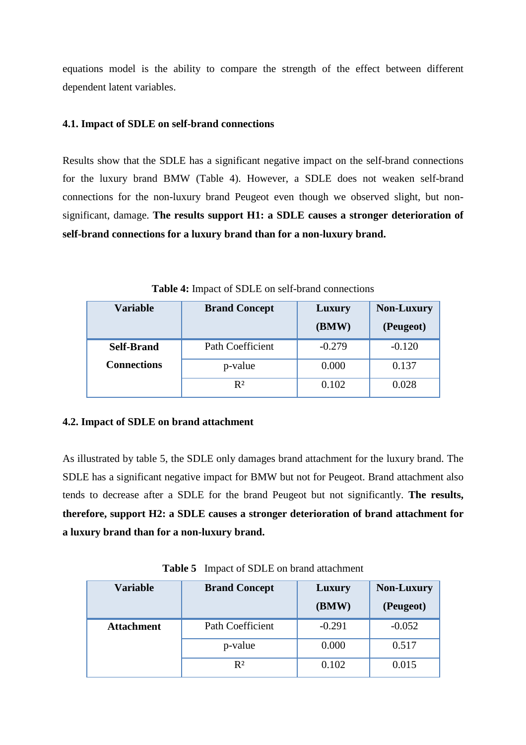equations model is the ability to compare the strength of the effect between different dependent latent variables.

### **4.1. Impact of SDLE on self-brand connections**

Results show that the SDLE has a significant negative impact on the self-brand connections for the luxury brand BMW (Table 4). However, a SDLE does not weaken self-brand connections for the non-luxury brand Peugeot even though we observed slight, but nonsignificant, damage. **The results support H1: a SDLE causes a stronger deterioration of self-brand connections for a luxury brand than for a non-luxury brand.**

| <b>Variable</b>    | <b>Brand Concept</b>    | Luxury   | <b>Non-Luxury</b> |
|--------------------|-------------------------|----------|-------------------|
|                    |                         | (BMW)    | (Peugeot)         |
| <b>Self-Brand</b>  | <b>Path Coefficient</b> | $-0.279$ | $-0.120$          |
| <b>Connections</b> | p-value                 | 0.000    | 0.137             |
|                    | R <sup>2</sup>          | 0.102    | 0.028             |

**Table 4:** Impact of SDLE on self-brand connections

### **4.2. Impact of SDLE on brand attachment**

As illustrated by table 5, the SDLE only damages brand attachment for the luxury brand. The SDLE has a significant negative impact for BMW but not for Peugeot. Brand attachment also tends to decrease after a SDLE for the brand Peugeot but not significantly. **The results, therefore, support H2: a SDLE causes a stronger deterioration of brand attachment for a luxury brand than for a non-luxury brand.** 

**Table 5** Impact of SDLE on brand attachment

| <b>Variable</b>   | <b>Brand Concept</b>    | Luxury   | <b>Non-Luxury</b> |
|-------------------|-------------------------|----------|-------------------|
|                   |                         | (BMW)    | (Peugeot)         |
| <b>Attachment</b> | <b>Path Coefficient</b> | $-0.291$ | $-0.052$          |
|                   | p-value                 | 0.000    | 0.517             |
|                   | $R^2$                   | 0.102    | 0.015             |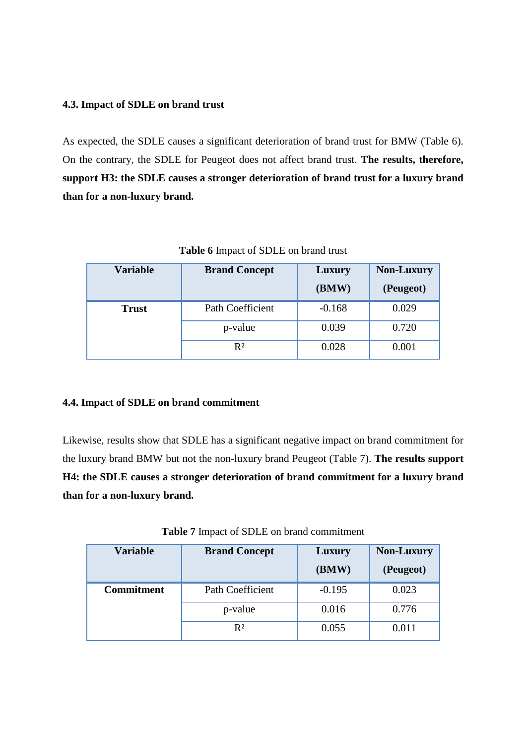#### **4.3. Impact of SDLE on brand trust**

As expected, the SDLE causes a significant deterioration of brand trust for BMW (Table 6). On the contrary, the SDLE for Peugeot does not affect brand trust. **The results, therefore, support H3: the SDLE causes a stronger deterioration of brand trust for a luxury brand than for a non-luxury brand.** 

| <b>Variable</b> | <b>Brand Concept</b> | Luxury<br>(BMW) | <b>Non-Luxury</b><br>(Peugeot) |
|-----------------|----------------------|-----------------|--------------------------------|
| <b>Trust</b>    | Path Coefficient     | $-0.168$        | 0.029                          |
|                 | p-value              | 0.039           | 0.720                          |
|                 | $R^2$                | 0.028           | 0.001                          |

**Table 6** Impact of SDLE on brand trust

### **4.4. Impact of SDLE on brand commitment**

Likewise, results show that SDLE has a significant negative impact on brand commitment for the luxury brand BMW but not the non-luxury brand Peugeot (Table 7). **The results support H4: the SDLE causes a stronger deterioration of brand commitment for a luxury brand than for a non-luxury brand.**

**Table 7** Impact of SDLE on brand commitment

| <b>Variable</b>   | <b>Brand Concept</b> | Luxury   | <b>Non-Luxury</b> |
|-------------------|----------------------|----------|-------------------|
|                   |                      | (BMW)    | (Peugeot)         |
| <b>Commitment</b> | Path Coefficient     | $-0.195$ | 0.023             |
|                   | p-value              | 0.016    | 0.776             |
|                   | $R^2$                | 0.055    | 0.011             |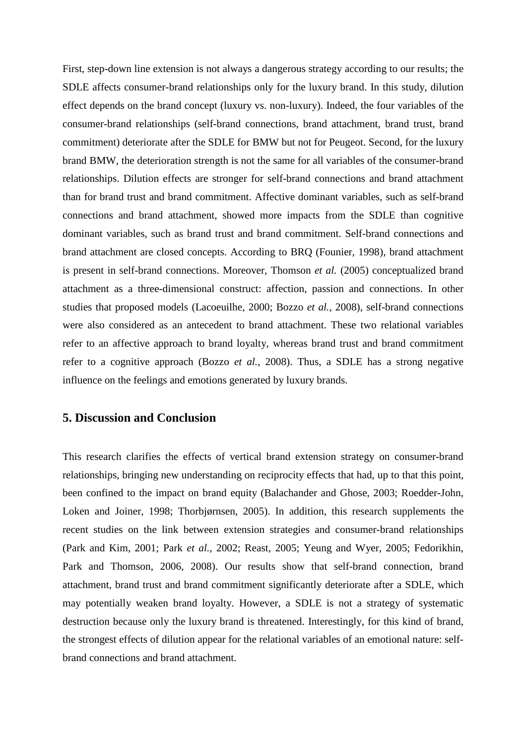First, step-down line extension is not always a dangerous strategy according to our results; the SDLE affects consumer-brand relationships only for the luxury brand. In this study, dilution effect depends on the brand concept (luxury vs. non-luxury). Indeed, the four variables of the consumer-brand relationships (self-brand connections, brand attachment, brand trust, brand commitment) deteriorate after the SDLE for BMW but not for Peugeot. Second, for the luxury brand BMW, the deterioration strength is not the same for all variables of the consumer-brand relationships. Dilution effects are stronger for self-brand connections and brand attachment than for brand trust and brand commitment. Affective dominant variables, such as self-brand connections and brand attachment, showed more impacts from the SDLE than cognitive dominant variables, such as brand trust and brand commitment. Self-brand connections and brand attachment are closed concepts. According to BRQ (Founier, 1998), brand attachment is present in self-brand connections. Moreover, Thomson *et al.* (2005) conceptualized brand attachment as a three-dimensional construct: affection, passion and connections. In other studies that proposed models (Lacoeuilhe, 2000; Bozzo *et al.*, 2008), self-brand connections were also considered as an antecedent to brand attachment. These two relational variables refer to an affective approach to brand loyalty, whereas brand trust and brand commitment refer to a cognitive approach (Bozzo *et al.*, 2008). Thus, a SDLE has a strong negative influence on the feelings and emotions generated by luxury brands.

# **5. Discussion and Conclusion**

This research clarifies the effects of vertical brand extension strategy on consumer-brand relationships, bringing new understanding on reciprocity effects that had, up to that this point, been confined to the impact on brand equity (Balachander and Ghose, 2003; Roedder-John, Loken and Joiner, 1998; Thorbjørnsen, 2005). In addition, this research supplements the recent studies on the link between extension strategies and consumer-brand relationships (Park and Kim, 2001; Park *et al.*, 2002; Reast, 2005; Yeung and Wyer, 2005; Fedorikhin, Park and Thomson, 2006, 2008). Our results show that self-brand connection, brand attachment, brand trust and brand commitment significantly deteriorate after a SDLE, which may potentially weaken brand loyalty. However, a SDLE is not a strategy of systematic destruction because only the luxury brand is threatened. Interestingly, for this kind of brand, the strongest effects of dilution appear for the relational variables of an emotional nature: selfbrand connections and brand attachment.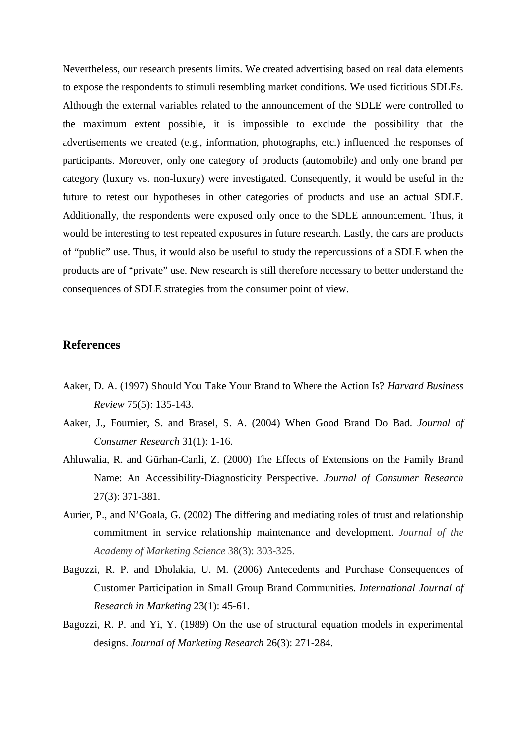Nevertheless, our research presents limits. We created advertising based on real data elements to expose the respondents to stimuli resembling market conditions. We used fictitious SDLEs. Although the external variables related to the announcement of the SDLE were controlled to the maximum extent possible, it is impossible to exclude the possibility that the advertisements we created (e.g., information, photographs, etc.) influenced the responses of participants. Moreover, only one category of products (automobile) and only one brand per category (luxury vs. non-luxury) were investigated. Consequently, it would be useful in the future to retest our hypotheses in other categories of products and use an actual SDLE. Additionally, the respondents were exposed only once to the SDLE announcement. Thus, it would be interesting to test repeated exposures in future research. Lastly, the cars are products of "public" use. Thus, it would also be useful to study the repercussions of a SDLE when the products are of "private" use. New research is still therefore necessary to better understand the consequences of SDLE strategies from the consumer point of view.

## **References**

- Aaker, D. A. (1997) Should You Take Your Brand to Where the Action Is? *Harvard Business Review* 75(5): 135-143.
- Aaker, J., Fournier, S. and Brasel, S. A. (2004) When Good Brand Do Bad. *Journal of Consumer Research* 31(1): 1-16.
- Ahluwalia, R. and Gürhan-Canli, Z. (2000) The Effects of Extensions on the Family Brand Name: An Accessibility-Diagnosticity Perspective. *Journal of Consumer Research* 27(3): 371-381.
- Aurier, P., and N'Goala, G. (2002) The differing and mediating roles of trust and relationship commitment in service relationship maintenance and development. *Journal of the Academy of Marketing Science* 38(3): 303-325.
- Bagozzi, R. P. and Dholakia, U. M. (2006) Antecedents and Purchase Consequences of Customer Participation in Small Group Brand Communities. *International Journal of Research in Marketing* 23(1): 45-61.
- Bagozzi, R. P. and Yi, Y. (1989) On the use of structural equation models in experimental designs. *Journal of Marketing Research* 26(3): 271-284.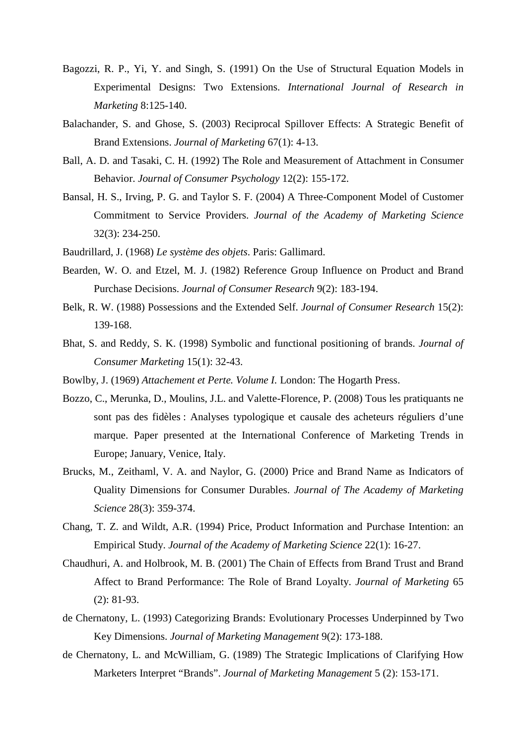- Bagozzi, R. P., Yi, Y. and Singh, S. (1991) On the Use of Structural Equation Models in Experimental Designs: Two Extensions. *International Journal of Research in Marketing* 8:125-140.
- Balachander, S. and Ghose, S. (2003) Reciprocal Spillover Effects: A Strategic Benefit of Brand Extensions. *Journal of Marketing* 67(1): 4-13.
- Ball, A. D. and Tasaki, C. H. (1992) The Role and Measurement of Attachment in Consumer Behavior. *Journal of Consumer Psychology* 12(2): 155-172.
- Bansal, H. S., Irving, P. G. and Taylor S. F. (2004) A Three-Component Model of Customer Commitment to Service Providers. *Journal of the Academy of Marketing Science* 32(3): 234-250.
- Baudrillard, J. (1968) *Le système des objets*. Paris: Gallimard.
- Bearden, W. O. and Etzel, M. J. (1982) Reference Group Influence on Product and Brand Purchase Decisions. *Journal of Consumer Research* 9(2): 183-194.
- Belk, R. W. (1988) Possessions and the Extended Self. *Journal of Consumer Research* 15(2): 139-168.
- Bhat, S. and Reddy, S. K. (1998) Symbolic and functional positioning of brands. *Journal of Consumer Marketing* 15(1): 32-43.
- Bowlby, J. (1969) *Attachement et Perte. Volume I.* London: The Hogarth Press.
- Bozzo, C., Merunka, D., Moulins, J.L. and Valette-Florence, P. (2008) Tous les pratiquants ne sont pas des fidèles : Analyses typologique et causale des acheteurs réguliers d'une marque. Paper presented at the International Conference of Marketing Trends in Europe; January, Venice, Italy.
- Brucks, M., Zeithaml, V. A. and Naylor, G. (2000) Price and Brand Name as Indicators of Quality Dimensions for Consumer Durables. *Journal of The Academy of Marketing Science* 28(3): 359-374.
- Chang, T. Z. and Wildt, A.R. (1994) Price, Product Information and Purchase Intention: an Empirical Study. *Journal of the Academy of Marketing Science* 22(1): 16-27.
- Chaudhuri, A. and Holbrook, M. B. (2001) The Chain of Effects from Brand Trust and Brand Affect to Brand Performance: The Role of Brand Loyalty. *Journal of Marketing* 65 (2): 81-93.
- de Chernatony, L. (1993) Categorizing Brands: Evolutionary Processes Underpinned by Two Key Dimensions. *Journal of Marketing Management* 9(2): 173-188.
- de Chernatony, L. and McWilliam, G. (1989) The Strategic Implications of Clarifying How Marketers Interpret "Brands". *Journal of Marketing Management* 5 (2): 153-171.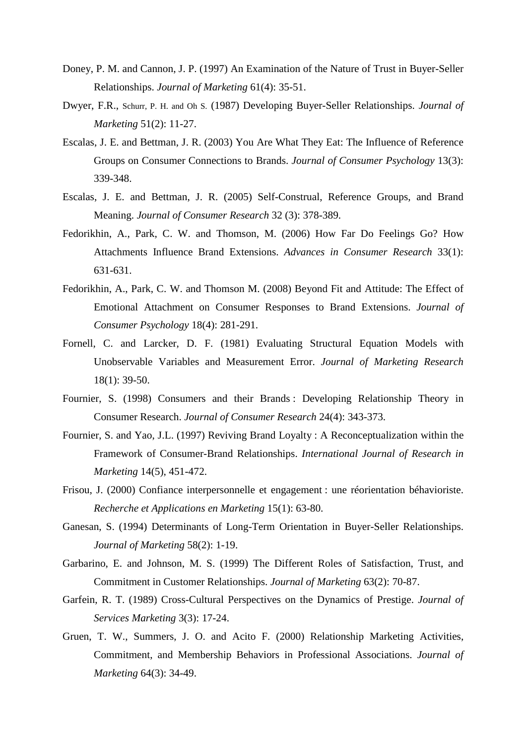- Doney, P. M. and Cannon, J. P. (1997) An Examination of the Nature of Trust in Buyer-Seller Relationships. *Journal of Marketing* 61(4): 35-51.
- Dwyer, F.R., Schurr, P. H. and Oh S. (1987) Developing Buyer-Seller Relationships. *Journal of Marketing* 51(2): 11-27.
- Escalas, J. E. and Bettman, J. R. (2003) You Are What They Eat: The Influence of Reference Groups on Consumer Connections to Brands. *Journal of Consumer Psychology* 13(3): 339-348.
- Escalas, J. E. and Bettman, J. R. (2005) Self-Construal, Reference Groups, and Brand Meaning. *Journal of Consumer Research* 32 (3): 378-389.
- Fedorikhin, A., Park, C. W. and Thomson, M. (2006) How Far Do Feelings Go? How Attachments Influence Brand Extensions. *Advances in Consumer Research* 33(1): 631-631.
- Fedorikhin, A., Park, C. W. and Thomson M. (2008) Beyond Fit and Attitude: The Effect of Emotional Attachment on Consumer Responses to Brand Extensions. *Journal of Consumer Psychology* 18(4): 281-291.
- Fornell, C. and Larcker, D. F. (1981) Evaluating Structural Equation Models with Unobservable Variables and Measurement Error. *Journal of Marketing Research* 18(1): 39-50.
- Fournier, S. (1998) Consumers and their Brands : Developing Relationship Theory in Consumer Research. *Journal of Consumer Research* 24(4): 343-373.
- Fournier, S. and Yao, J.L. (1997) Reviving Brand Loyalty : A Reconceptualization within the Framework of Consumer-Brand Relationships. *International Journal of Research in Marketing* 14(5), 451-472.
- Frisou, J. (2000) Confiance interpersonnelle et engagement : une réorientation béhavioriste. *Recherche et Applications en Marketing* 15(1): 63-80.
- Ganesan, S. (1994) Determinants of Long-Term Orientation in Buyer-Seller Relationships. *Journal of Marketing* 58(2): 1-19.
- Garbarino, E. and Johnson, M. S. (1999) The Different Roles of Satisfaction, Trust, and Commitment in Customer Relationships. *Journal of Marketing* 63(2): 70-87.
- Garfein, R. T. (1989) Cross-Cultural Perspectives on the Dynamics of Prestige. *Journal of Services Marketing* 3(3): 17-24.
- Gruen, T. W., Summers, J. O. and Acito F. (2000) Relationship Marketing Activities, Commitment, and Membership Behaviors in Professional Associations. *Journal of Marketing* 64(3): 34-49.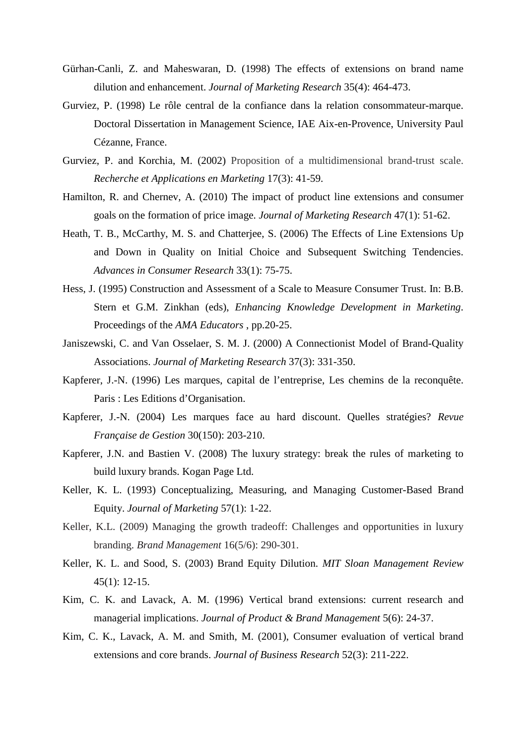- Gürhan-Canli, Z. and Maheswaran, D. (1998) The effects of extensions on brand name dilution and enhancement. *Journal of Marketing Research* 35(4): 464-473.
- Gurviez, P. (1998) Le rôle central de la confiance dans la relation consommateur-marque. Doctoral Dissertation in Management Science, IAE Aix-en-Provence, University Paul Cézanne, France.
- Gurviez, P. and Korchia, M. (2002) Proposition of a multidimensional brand-trust scale. *Recherche et Applications en Marketing* 17(3): 41-59.
- Hamilton, R. and Chernev, A. (2010) The impact of product line extensions and consumer goals on the formation of price image. *Journal of Marketing Research* 47(1): 51-62.
- Heath, T. B., McCarthy, M. S. and Chatterjee, S. (2006) The Effects of Line Extensions Up and Down in Quality on Initial Choice and Subsequent Switching Tendencies. *Advances in Consumer Research* 33(1): 75-75.
- Hess, J. (1995) Construction and Assessment of a Scale to Measure Consumer Trust. In: B.B. Stern et G.M. Zinkhan (eds), *Enhancing Knowledge Development in Marketing*. Proceedings of the *AMA Educators* , pp.20-25.
- Janiszewski, C. and Van Osselaer, S. M. J. (2000) A Connectionist Model of Brand-Quality Associations. *Journal of Marketing Research* 37(3): 331-350.
- Kapferer, J.-N. (1996) Les marques, capital de l'entreprise, Les chemins de la reconquête. Paris : Les Editions d'Organisation.
- Kapferer, J.-N. (2004) Les marques face au hard discount. Quelles stratégies? *Revue Française de Gestion* 30(150): 203-210.
- Kapferer, J.N. and Bastien V. (2008) The luxury strategy: break the rules of marketing to build luxury brands. Kogan Page Ltd.
- Keller, K. L. (1993) Conceptualizing, Measuring, and Managing Customer-Based Brand Equity. *Journal of Marketing* 57(1): 1-22.
- Keller, K.L. (2009) Managing the growth tradeoff: Challenges and opportunities in luxury branding. *Brand Management* 16(5/6): 290-301.
- Keller, K. L. and Sood, S. (2003) Brand Equity Dilution. *MIT Sloan Management Review* 45(1): 12-15.
- Kim, C. K. and Lavack, A. M. (1996) Vertical brand extensions: current research and managerial implications. *Journal of Product & Brand Management* 5(6): 24-37.
- Kim, C. K., Lavack, A. M. and Smith, M. (2001), Consumer evaluation of vertical brand extensions and core brands. *Journal of Business Research* 52(3): 211-222.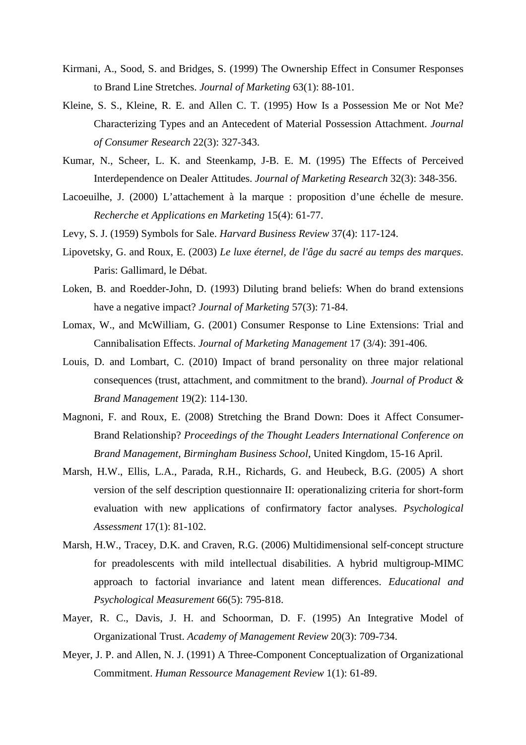- Kirmani, A., Sood, S. and Bridges, S. (1999) The Ownership Effect in Consumer Responses to Brand Line Stretches. *Journal of Marketing* 63(1): 88-101.
- Kleine, S. S., Kleine, R. E. and Allen C. T. (1995) How Is a Possession Me or Not Me? Characterizing Types and an Antecedent of Material Possession Attachment. *Journal of Consumer Research* 22(3): 327-343.
- Kumar, N., Scheer, L. K. and Steenkamp, J-B. E. M. (1995) The Effects of Perceived Interdependence on Dealer Attitudes. *Journal of Marketing Research* 32(3): 348-356.
- Lacoeuilhe, J. (2000) L'attachement à la marque : proposition d'une échelle de mesure. *Recherche et Applications en Marketing* 15(4): 61-77.
- Levy, S. J. (1959) Symbols for Sale. *Harvard Business Review* 37(4): 117-124.
- Lipovetsky, G. and Roux, E. (2003) *Le luxe éternel, de l'âge du sacré au temps des marques*. Paris: Gallimard, le Débat.
- Loken, B. and Roedder-John, D. (1993) Diluting brand beliefs: When do brand extensions have a negative impact? *Journal of Marketing* 57(3): 71-84.
- Lomax, W., and McWilliam, G. (2001) Consumer Response to Line Extensions: Trial and Cannibalisation Effects. *Journal of Marketing Management* 17 (3/4): 391-406.
- Louis, D. and Lombart, C. (2010) Impact of brand personality on three major relational consequences (trust, attachment, and commitment to the brand). *Journal of Product & Brand Management* 19(2): 114-130.
- Magnoni, F. and Roux, E. (2008) Stretching the Brand Down: Does it Affect Consumer-Brand Relationship? *Proceedings of the Thought Leaders International Conference on Brand Management, Birmingham Business School*, United Kingdom, 15-16 April.
- Marsh, H.W., Ellis, L.A., Parada, R.H., Richards, G. and Heubeck, B.G. (2005) A short version of the self description questionnaire II: operationalizing criteria for short-form evaluation with new applications of confirmatory factor analyses. *Psychological Assessment* 17(1): 81-102.
- Marsh, H.W., Tracey, D.K. and Craven, R.G. (2006) Multidimensional self-concept structure for preadolescents with mild intellectual disabilities. A hybrid multigroup-MIMC approach to factorial invariance and latent mean differences. *Educational and Psychological Measurement* 66(5): 795-818.
- Mayer, R. C., Davis, J. H. and Schoorman, D. F. (1995) An Integrative Model of Organizational Trust. *Academy of Management Review* 20(3): 709-734.
- Meyer, J. P. and Allen, N. J. (1991) A Three-Component Conceptualization of Organizational Commitment. *Human Ressource Management Review* 1(1): 61-89.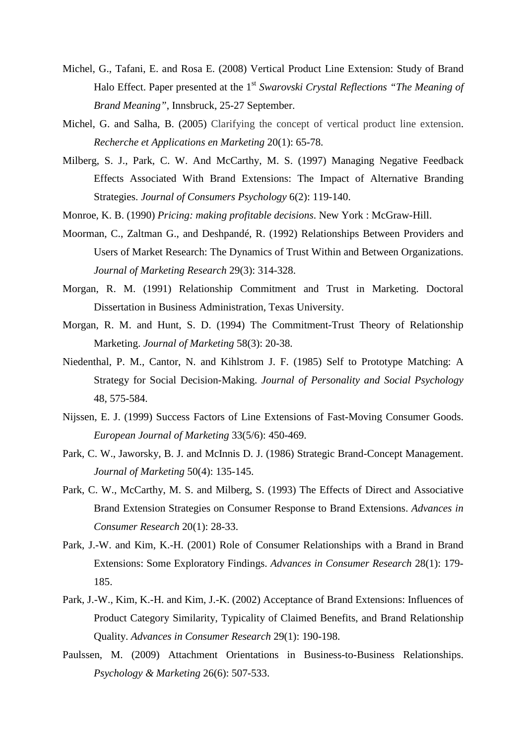- Michel, G., Tafani, E. and Rosa E. (2008) Vertical Product Line Extension: Study of Brand Halo Effect. Paper presented at the 1<sup>st</sup> *Swarovski Crystal Reflections "The Meaning of Brand Meaning"*, Innsbruck, 25-27 September.
- Michel, G. and Salha, B. (2005) Clarifying the concept of vertical product line extension. *Recherche et Applications en Marketing* 20(1): 65-78.
- Milberg, S. J., Park, C. W. And McCarthy, M. S. (1997) Managing Negative Feedback Effects Associated With Brand Extensions: The Impact of Alternative Branding Strategies. *Journal of Consumers Psychology* 6(2): 119-140.
- Monroe, K. B. (1990) *Pricing: making profitable decisions*. New York : McGraw-Hill.
- Moorman, C., Zaltman G., and Deshpandé, R. (1992) Relationships Between Providers and Users of Market Research: The Dynamics of Trust Within and Between Organizations. *Journal of Marketing Research* 29(3): 314-328.
- Morgan, R. M. (1991) Relationship Commitment and Trust in Marketing. Doctoral Dissertation in Business Administration, Texas University.
- Morgan, R. M. and Hunt, S. D. (1994) The Commitment-Trust Theory of Relationship Marketing. *Journal of Marketing* 58(3): 20-38.
- Niedenthal, P. M., Cantor, N. and Kihlstrom J. F. (1985) Self to Prototype Matching: A Strategy for Social Decision-Making. *Journal of Personality and Social Psychology* 48, 575-584.
- Nijssen, E. J. (1999) Success Factors of Line Extensions of Fast-Moving Consumer Goods. *European Journal of Marketing* 33(5/6): 450-469.
- Park, C. W., Jaworsky, B. J. and McInnis D. J. (1986) Strategic Brand-Concept Management. *Journal of Marketing* 50(4): 135-145.
- Park, C. W., McCarthy, M. S. and Milberg, S. (1993) The Effects of Direct and Associative Brand Extension Strategies on Consumer Response to Brand Extensions. *Advances in Consumer Research* 20(1): 28-33.
- Park, J.-W. and Kim, K.-H. (2001) Role of Consumer Relationships with a Brand in Brand Extensions: Some Exploratory Findings. *Advances in Consumer Research* 28(1): 179- 185.
- Park, J.-W., Kim, K.-H. and Kim, J.-K. (2002) Acceptance of Brand Extensions: Influences of Product Category Similarity, Typicality of Claimed Benefits, and Brand Relationship Quality. *Advances in Consumer Research* 29(1): 190-198.
- Paulssen, M. (2009) Attachment Orientations in Business-to-Business Relationships. *Psychology & Marketing* 26(6): 507-533.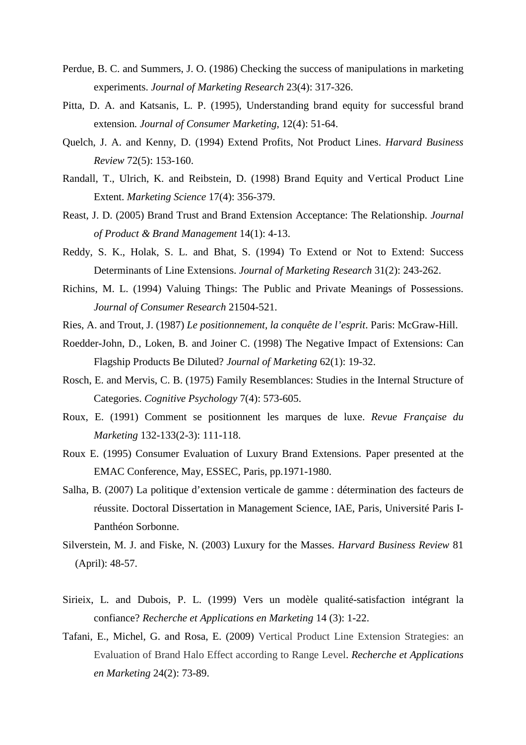- Perdue, B. C. and Summers, J. O. (1986) Checking the success of manipulations in marketing experiments. *Journal of Marketing Research* 23(4): 317-326.
- Pitta, D. A. and Katsanis, L. P. (1995), Understanding brand equity for successful brand extension*. Journal of Consumer Marketing*, 12(4): 51-64.
- Quelch, J. A. and Kenny, D. (1994) Extend Profits, Not Product Lines. *Harvard Business Review* 72(5): 153-160.
- Randall, T., Ulrich, K. and Reibstein, D. (1998) Brand Equity and Vertical Product Line Extent. *Marketing Science* 17(4): 356-379.
- Reast, J. D. (2005) Brand Trust and Brand Extension Acceptance: The Relationship. *Journal of Product & Brand Management* 14(1): 4-13.
- Reddy, S. K., Holak, S. L. and Bhat, S. (1994) To Extend or Not to Extend: Success Determinants of Line Extensions. *Journal of Marketing Research* 31(2): 243-262.
- Richins, M. L. (1994) Valuing Things: The Public and Private Meanings of Possessions. *Journal of Consumer Research* 21504-521.
- Ries, A. and Trout, J. (1987) *Le positionnement, la conquête de l'esprit*. Paris: McGraw-Hill.
- Roedder-John, D., Loken, B. and Joiner C. (1998) The Negative Impact of Extensions: Can Flagship Products Be Diluted? *Journal of Marketing* 62(1): 19-32.
- Rosch, E. and Mervis, C. B. (1975) Family Resemblances: Studies in the Internal Structure of Categories. *Cognitive Psychology* 7(4): 573-605.
- Roux, E. (1991) Comment se positionnent les marques de luxe. *Revue Française du Marketing* 132-133(2-3): 111-118.
- Roux E. (1995) Consumer Evaluation of Luxury Brand Extensions. Paper presented at the EMAC Conference, May, ESSEC, Paris, pp.1971-1980.
- Salha, B. (2007) La politique d'extension verticale de gamme : détermination des facteurs de réussite. Doctoral Dissertation in Management Science, IAE, Paris, Université Paris I-Panthéon Sorbonne.
- Silverstein, M. J. and Fiske, N. (2003) Luxury for the Masses. *Harvard Business Review* 81 (April): 48-57.
- Sirieix, L. and Dubois, P. L. (1999) Vers un modèle qualité-satisfaction intégrant la confiance? *Recherche et Applications en Marketing* 14 (3): 1-22.
- Tafani, E., Michel, G. and Rosa, E. (2009) Vertical Product Line Extension Strategies: an Evaluation of Brand Halo Effect according to Range Level. *Recherche et Applications en Marketing* 24(2): 73-89.